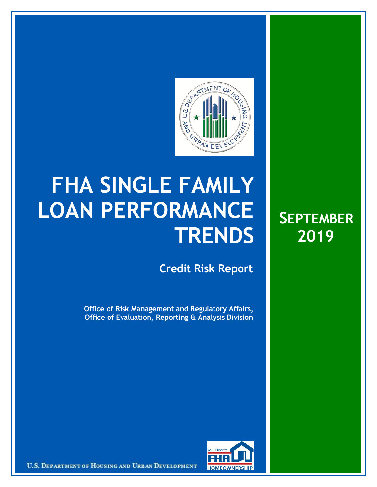

## **FHA SINGLE FAMILY LOAN PERFORMANCE TRENDS**

**Credit Risk Report**

**Office of Risk Management and Regulatory Affairs, Office of Evaluation, Reporting & Analysis Division**





U.S. DEPARTMENT OF HOUSING AND URBAN DEVELOPMENT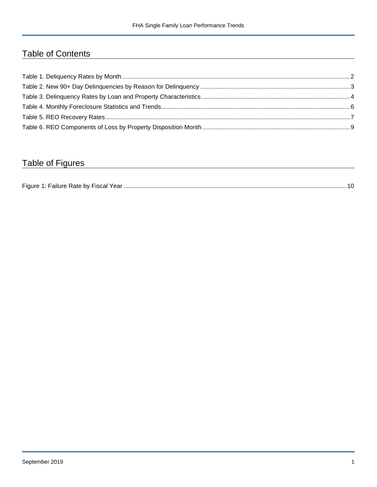## Table of Contents

## Table of Figures

| Figure 1 |  |
|----------|--|
|----------|--|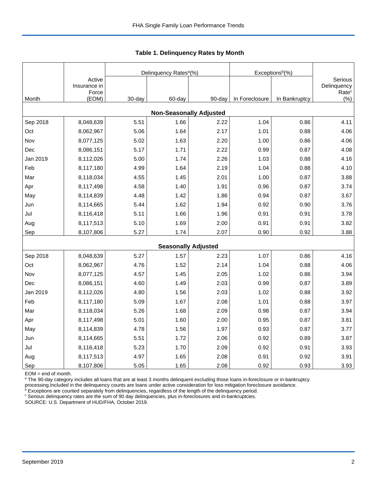|                                |                        |        | Delinquency Rates <sup>a</sup> (%) |        | Exceptions <sup>b</sup> (%) |               |                              |  |  |  |  |
|--------------------------------|------------------------|--------|------------------------------------|--------|-----------------------------|---------------|------------------------------|--|--|--|--|
|                                | Active<br>Insurance in |        |                                    |        |                             |               | Serious<br>Delinquency       |  |  |  |  |
| Month                          | Force<br>(EOM)         | 30-day | 60-day                             | 90-day | In Foreclosure              | In Bankruptcy | Rate <sup>c</sup><br>$(\% )$ |  |  |  |  |
| <b>Non-Seasonally Adjusted</b> |                        |        |                                    |        |                             |               |                              |  |  |  |  |
| Sep 2018                       | 8,048,639              | 5.51   | 1.66                               | 2.22   | 1.04                        | 0.86          | 4.11                         |  |  |  |  |
| Oct                            | 8,062,967              | 5.06   | 1.64                               | 2.17   | 1.01                        | 0.88          | 4.06                         |  |  |  |  |
| Nov                            | 8,077,125              | 5.02   | 1.63                               | 2.20   | 1.00                        | 0.86          | 4.06                         |  |  |  |  |
| Dec                            | 8,086,151              | 5.17   | 1.71                               | 2.22   | 0.99                        | 0.87          | 4.08                         |  |  |  |  |
| Jan 2019                       | 8,112,026              | 5.00   | 1.74                               | 2.26   | 1.03                        | 0.88          | 4.16                         |  |  |  |  |
| Feb                            | 8,117,180              | 4.99   | 1.64                               | 2.19   | 1.04                        | 0.88          | 4.10                         |  |  |  |  |
| Mar                            | 8,118,034              | 4.55   | 1.45                               | 2.01   | 1.00                        | 0.87          | 3.88                         |  |  |  |  |
| Apr                            | 8,117,498              | 4.58   | 1.40                               | 1.91   | 0.96                        | 0.87          | 3.74                         |  |  |  |  |
| May                            | 8,114,839              | 4.48   | 1.42                               | 1.86   | 0.94                        | 0.87          | 3.67                         |  |  |  |  |
| Jun                            | 8,114,665              | 5.44   | 1.62                               | 1.94   | 0.92                        | 0.90          | 3.76                         |  |  |  |  |
| Jul                            | 8,116,418              | 5.11   | 1.66                               | 1.96   | 0.91                        | 0.91          | 3.78                         |  |  |  |  |
| Aug                            | 8,117,513              | 5.10   | 1.69                               | 2.00   | 0.91                        | 0.91          | 3.82                         |  |  |  |  |
| Sep                            | 8,107,806              | 5.27   | 1.74                               | 2.07   | 0.90                        | 0.92          | 3.88                         |  |  |  |  |
|                                |                        |        | <b>Seasonally Adjusted</b>         |        |                             |               |                              |  |  |  |  |
| Sep 2018                       | 8,048,639              | 5.27   | 1.57                               | 2.23   | 1.07                        | 0.86          | 4.16                         |  |  |  |  |
| Oct                            | 8,062,967              | 4.76   | 1.52                               | 2.14   | 1.04                        | 0.88          | 4.06                         |  |  |  |  |
| Nov                            | 8,077,125              | 4.57   | 1.45                               | 2.05   | 1.02                        | 0.86          | 3.94                         |  |  |  |  |
| Dec                            | 8,086,151              | 4.60   | 1.49                               | 2.03   | 0.99                        | 0.87          | 3.89                         |  |  |  |  |
| Jan 2019                       | 8,112,026              | 4.80   | 1.56                               | 2.03   | 1.02                        | 0.88          | 3.92                         |  |  |  |  |
| Feb                            | 8,117,180              | 5.09   | 1.67                               | 2.08   | 1.01                        | 0.88          | 3.97                         |  |  |  |  |
| Mar                            | 8,118,034              | 5.26   | 1.68                               | 2.09   | 0.98                        | 0.87          | 3.94                         |  |  |  |  |
| Apr                            | 8,117,498              | 5.01   | 1.60                               | 2.00   | 0.95                        | 0.87          | 3.81                         |  |  |  |  |
| May                            | 8,114,839              | 4.78   | 1.56                               | 1.97   | 0.93                        | 0.87          | 3.77                         |  |  |  |  |
| Jun                            | 8,114,665              | 5.51   | 1.72                               | 2.06   | 0.92                        | 0.89          | 3.87                         |  |  |  |  |
| Jul                            | 8,116,418              | 5.23   | 1.70                               | 2.09   | 0.92                        | 0.91          | 3.93                         |  |  |  |  |
| Aug                            | 8,117,513              | 4.97   | 1.65                               | 2.08   | 0.91                        | 0.92          | 3.91                         |  |  |  |  |
| Sep                            | 8,107,806              | 5.05   | 1.65                               | 2.08   | 0.92                        | 0.93          | 3.93                         |  |  |  |  |

 **Table 1. Delinquency Rates by Month**

EOM = end of month.

<sup>a</sup> The 90-day category includes all loans that are at least 3 months delinquent excluding those loans in-foreclosure or in-bankruptcy

processing.Included in the delinquency counts are loans under active consideration for loss mitigation foreclosure avoidance.<br><sup>b</sup> Exceptions are counted separately from delinquencies, regardless of the length of the delinq

<sup>c</sup> Serious delinquency rates are the sum of 90 day delinquencies, plus in-foreclosures and in-bankruptcies.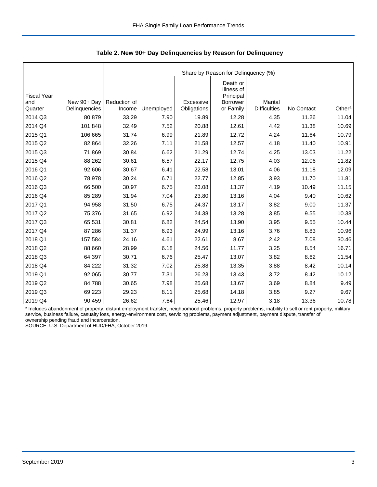|                                      |               | Share by Reason for Delinquency (%) |            |             |                                                              |                                |            |                    |  |  |  |
|--------------------------------------|---------------|-------------------------------------|------------|-------------|--------------------------------------------------------------|--------------------------------|------------|--------------------|--|--|--|
| <b>Fiscal Year</b><br>and<br>Quarter | New 90+ Day   | Reduction of<br>Income              |            | Excessive   | Death or<br>Illness of<br>Principal<br>Borrower<br>or Family | Marital<br><b>Difficulties</b> | No Contact | Other <sup>a</sup> |  |  |  |
|                                      | Delinquencies |                                     | Unemployed | Obligations |                                                              |                                |            |                    |  |  |  |
| 2014 Q3                              | 80,879        | 33.29                               | 7.90       | 19.89       | 12.28                                                        | 4.35                           | 11.26      | 11.04              |  |  |  |
| 2014 Q4                              | 101,848       | 32.49                               | 7.52       | 20.88       | 12.61                                                        | 4.42                           | 11.38      | 10.69              |  |  |  |
| 2015 Q1                              | 106,665       | 31.74                               | 6.99       | 21.89       | 12.72                                                        | 4.24                           | 11.64      | 10.79              |  |  |  |
| 2015 Q2                              | 82,864        | 32.26                               | 7.11       | 21.58       | 12.57                                                        | 4.18                           | 11.40      | 10.91              |  |  |  |
| 2015 Q3                              | 71,869        | 30.84                               | 6.62       | 21.29       | 12.74                                                        | 4.25                           | 13.03      | 11.22              |  |  |  |
| 2015 Q4                              | 88,262        | 30.61                               | 6.57       | 22.17       | 12.75                                                        | 4.03                           | 12.06      | 11.82              |  |  |  |
| 2016 Q1                              | 92,606        | 30.67                               | 6.41       | 22.58       | 13.01                                                        | 4.06                           | 11.18      | 12.09              |  |  |  |
| 2016 Q2                              | 78,978        | 30.24                               | 6.71       | 22.77       | 12.85                                                        | 3.93                           | 11.70      | 11.81              |  |  |  |
| 2016 Q3                              | 66,500        | 30.97                               | 6.75       | 23.08       | 13.37                                                        | 4.19                           | 10.49      | 11.15              |  |  |  |
| 2016 Q4                              | 85,289        | 31.94                               | 7.04       | 23.80       | 13.16                                                        | 4.04                           | 9.40       | 10.62              |  |  |  |
| 2017 Q1                              | 94,958        | 31.50                               | 6.75       | 24.37       | 13.17                                                        | 3.82                           | 9.00       | 11.37              |  |  |  |
| 2017 Q2                              | 75,376        | 31.65                               | 6.92       | 24.38       | 13.28                                                        | 3.85                           | 9.55       | 10.38              |  |  |  |
| 2017 Q3                              | 65,531        | 30.81                               | 6.82       | 24.54       | 13.90                                                        | 3.95                           | 9.55       | 10.44              |  |  |  |
| 2017 Q4                              | 87,286        | 31.37                               | 6.93       | 24.99       | 13.16                                                        | 3.76                           | 8.83       | 10.96              |  |  |  |
| 2018 Q1                              | 157,584       | 24.16                               | 4.61       | 22.61       | 8.67                                                         | 2.42                           | 7.08       | 30.46              |  |  |  |
| 2018 Q2                              | 88,660        | 28.99                               | 6.18       | 24.56       | 11.77                                                        | 3.25                           | 8.54       | 16.71              |  |  |  |
| 2018 Q3                              | 64,397        | 30.71                               | 6.76       | 25.47       | 13.07                                                        | 3.82                           | 8.62       | 11.54              |  |  |  |
| 2018 Q4                              | 84,222        | 31.32                               | 7.02       | 25.88       | 13.35                                                        | 3.88                           | 8.42       | 10.14              |  |  |  |
| 2019 Q1                              | 92,065        | 30.77                               | 7.31       | 26.23       | 13.43                                                        | 3.72                           | 8.42       | 10.12              |  |  |  |
| 2019 Q2                              | 84,788        | 30.65                               | 7.98       | 25.68       | 13.67                                                        | 3.69                           | 8.84       | 9.49               |  |  |  |
| 2019 Q3                              | 69,223        | 29.23                               | 8.11       | 25.68       | 14.18                                                        | 3.85                           | 9.27       | 9.67               |  |  |  |
| 2019 Q4                              | 90,459        | 26.62                               | 7.64       | 25.46       | 12.97                                                        | 3.18                           | 13.36      | 10.78              |  |  |  |

 **Table 2. New 90+ Day Delinquencies by Reason for Delinquency**

a Includes abandonment of property, distant employment transfer, neighborhood problems, property problems, inability to sell or rent property, military service, business failure, casualty loss, energy-environment cost, servicing problems, payment adjustment, payment dispute, transfer of ownership pending fraud and incarceration.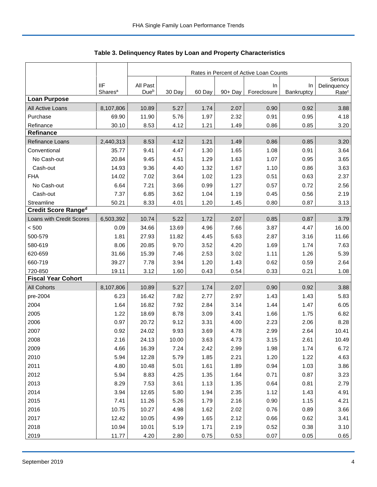|                            |                     | Rates in Percent of Active Loan Counts |        |        |         |             |            |                        |  |  |
|----------------------------|---------------------|----------------------------------------|--------|--------|---------|-------------|------------|------------------------|--|--|
|                            | <b>IIF</b>          | All Past                               |        |        |         | In          | In         | Serious<br>Delinquency |  |  |
|                            | Shares <sup>a</sup> | Dueb                                   | 30 Day | 60 Day | 90+ Day | Foreclosure | Bankruptcy | Rate <sup>c</sup>      |  |  |
| <b>Loan Purpose</b>        |                     |                                        |        |        |         |             |            |                        |  |  |
| All Active Loans           | 8,107,806           | 10.89                                  | 5.27   | 1.74   | 2.07    | 0.90        | 0.92       | 3.88                   |  |  |
| Purchase                   | 69.90               | 11.90                                  | 5.76   | 1.97   | 2.32    | 0.91        | 0.95       | 4.18                   |  |  |
| Refinance<br>Refinance     | 30.10               | 8.53                                   | 4.12   | 1.21   | 1.49    | 0.86        | 0.85       | 3.20                   |  |  |
|                            |                     |                                        | 4.12   | 1.21   | 1.49    | 0.86        |            | 3.20                   |  |  |
| Refinance Loans            | 2,440,313           | 8.53                                   |        |        |         |             | 0.85       |                        |  |  |
| Conventional               | 35.77               | 9.41                                   | 4.47   | 1.30   | 1.65    | 1.08        | 0.91       | 3.64                   |  |  |
| No Cash-out                | 20.84               | 9.45                                   | 4.51   | 1.29   | 1.63    | 1.07        | 0.95       | 3.65                   |  |  |
| Cash-out                   | 14.93               | 9.36                                   | 4.40   | 1.32   | 1.67    | 1.10        | 0.86       | 3.63                   |  |  |
| <b>FHA</b>                 | 14.02               | 7.02                                   | 3.64   | 1.02   | 1.23    | 0.51        | 0.63       | 2.37                   |  |  |
| No Cash-out                | 6.64                | 7.21                                   | 3.66   | 0.99   | 1.27    | 0.57        | 0.72       | 2.56                   |  |  |
| Cash-out                   | 7.37                | 6.85                                   | 3.62   | 1.04   | 1.19    | 0.45        | 0.56       | 2.19                   |  |  |
| Streamline                 | 50.21               | 8.33                                   | 4.01   | 1.20   | 1.45    | 0.80        | 0.87       | 3.13                   |  |  |
| <b>Credit Score Ranged</b> |                     |                                        |        |        |         |             |            |                        |  |  |
| Loans with Credit Scores   | 6,503,392           | 10.74                                  | 5.22   | 1.72   | 2.07    | 0.85        | 0.87       | 3.79                   |  |  |
| < 500                      | 0.09                | 34.66                                  | 13.69  | 4.96   | 7.66    | 3.87        | 4.47       | 16.00                  |  |  |
| 500-579                    | 1.81                | 27.93                                  | 11.82  | 4.45   | 5.63    | 2.87        | 3.16       | 11.66                  |  |  |
| 580-619                    | 8.06                | 20.85                                  | 9.70   | 3.52   | 4.20    | 1.69        | 1.74       | 7.63                   |  |  |
| 620-659                    | 31.66               | 15.39                                  | 7.46   | 2.53   | 3.02    | 1.11        | 1.26       | 5.39                   |  |  |
| 660-719                    | 39.27               | 7.78                                   | 3.94   | 1.20   | 1.43    | 0.62        | 0.59       | 2.64                   |  |  |
| 720-850                    | 19.11               | 3.12                                   | 1.60   | 0.43   | 0.54    | 0.33        | 0.21       | 1.08                   |  |  |
| <b>Fiscal Year Cohort</b>  |                     |                                        |        |        |         |             |            |                        |  |  |
| <b>All Cohorts</b>         | 8,107,806           | 10.89                                  | 5.27   | 1.74   | 2.07    | 0.90        | 0.92       | 3.88                   |  |  |
| pre-2004                   | 6.23                | 16.42                                  | 7.82   | 2.77   | 2.97    | 1.43        | 1.43       | 5.83                   |  |  |
| 2004                       | 1.64                | 16.82                                  | 7.92   | 2.84   | 3.14    | 1.44        | 1.47       | 6.05                   |  |  |
| 2005                       | 1.22                | 18.69                                  | 8.78   | 3.09   | 3.41    | 1.66        | 1.75       | 6.82                   |  |  |
| 2006                       | 0.97                | 20.72                                  | 9.12   | 3.31   | 4.00    | 2.23        | 2.06       | 8.28                   |  |  |
| 2007                       | 0.92                | 24.02                                  | 9.93   | 3.69   | 4.78    | 2.99        | 2.64       | 10.41                  |  |  |
| 2008                       | 2.16                | 24.13                                  | 10.00  | 3.63   | 4.73    | 3.15        | 2.61       | 10.49                  |  |  |
| 2009                       | 4.66                | 16.39                                  | 7.24   | 2.42   | 2.99    | 1.98        | 1.74       | 6.72                   |  |  |
| 2010                       | 5.94                | 12.28                                  | 5.79   | 1.85   | 2.21    | 1.20        | 1.22       | 4.63                   |  |  |
| 2011                       | 4.80                | 10.48                                  | 5.01   | 1.61   | 1.89    | 0.94        | 1.03       | 3.86                   |  |  |
| 2012                       | 5.94                | 8.83                                   | 4.25   | 1.35   | 1.64    | 0.71        | 0.87       | 3.23                   |  |  |
| 2013                       | 8.29                | 7.53                                   | 3.61   | 1.13   | 1.35    | 0.64        | 0.81       | 2.79                   |  |  |
| 2014                       | 3.94                | 12.65                                  | 5.80   | 1.94   | 2.35    | 1.12        | 1.43       | 4.91                   |  |  |
| 2015                       | 7.41                | 11.26                                  | 5.26   | 1.79   | 2.16    | 0.90        | 1.15       | 4.21                   |  |  |
| 2016                       | 10.75               | 10.27                                  | 4.98   | 1.62   | 2.02    | 0.76        | 0.89       | 3.66                   |  |  |
| 2017                       | 12.42               | 10.05                                  | 4.99   | 1.65   | 2.12    | 0.66        | 0.62       | 3.41                   |  |  |
| 2018                       | 10.94               | 10.01                                  | 5.19   | 1.71   | 2.19    | 0.52        | 0.38       | 3.10                   |  |  |
| 2019                       | 11.77               | 4.20                                   | 2.80   | 0.75   | 0.53    | 0.07        | 0.05       | 0.65                   |  |  |
|                            |                     |                                        |        |        |         |             |            |                        |  |  |

**Table 3. Delinquency Rates by Loan and Property Characteristics**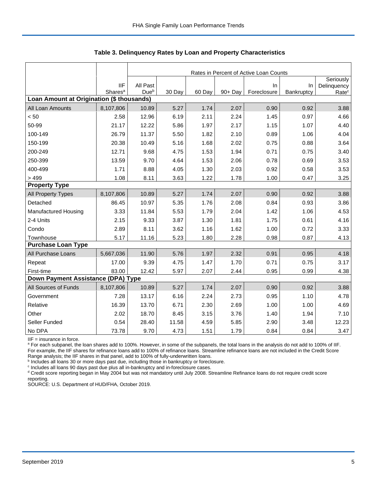|                                           |                                   | Rates in Percent of Active Loan Counts |        |        |         |                   |                  |                                  |  |  |  |
|-------------------------------------------|-----------------------------------|----------------------------------------|--------|--------|---------|-------------------|------------------|----------------------------------|--|--|--|
|                                           |                                   |                                        |        |        |         |                   |                  | Seriously                        |  |  |  |
|                                           | <b>IIF</b><br>Shares <sup>a</sup> | All Past<br>Dueb                       | 30 Day | 60 Day | 90+ Day | In<br>Foreclosure | In<br>Bankruptcy | Delinquency<br>Rate <sup>c</sup> |  |  |  |
| Loan Amount at Origination (\$ thousands) |                                   |                                        |        |        |         |                   |                  |                                  |  |  |  |
| All Loan Amounts                          | 8,107,806                         | 10.89                                  | 5.27   | 1.74   | 2.07    | 0.90              | 0.92             | 3.88                             |  |  |  |
| < 50                                      | 2.58                              | 12.96                                  | 6.19   | 2.11   | 2.24    | 1.45              | 0.97             | 4.66                             |  |  |  |
| 50-99                                     | 21.17                             | 12.22                                  | 5.86   | 1.97   | 2.17    | 1.15              | 1.07             | 4.40                             |  |  |  |
| 100-149                                   | 26.79                             | 11.37                                  | 5.50   | 1.82   | 2.10    | 0.89              | 1.06             | 4.04                             |  |  |  |
| 150-199                                   | 20.38                             | 10.49                                  | 5.16   | 1.68   | 2.02    | 0.75              | 0.88             | 3.64                             |  |  |  |
| 200-249                                   | 12.71                             | 9.68                                   | 4.75   | 1.53   | 1.94    | 0.71              | 0.75             | 3.40                             |  |  |  |
| 250-399                                   | 13.59                             | 9.70                                   | 4.64   | 1.53   | 2.06    | 0.78              | 0.69             | 3.53                             |  |  |  |
| 400-499                                   | 1.71                              | 8.88                                   | 4.05   | 1.30   | 2.03    | 0.92              | 0.58             | 3.53                             |  |  |  |
| > 499                                     | 1.08                              | 8.11                                   | 3.63   | 1.22   | 1.78    | 1.00              | 0.47             | 3.25                             |  |  |  |
| <b>Property Type</b>                      |                                   |                                        |        |        |         |                   |                  |                                  |  |  |  |
| All Property Types                        | 8,107,806                         | 10.89                                  | 5.27   | 1.74   | 2.07    | 0.90              | 0.92             | 3.88                             |  |  |  |
| Detached                                  | 86.45                             | 10.97                                  | 5.35   | 1.76   | 2.08    | 0.84              | 0.93             | 3.86                             |  |  |  |
| <b>Manufactured Housing</b>               | 3.33                              | 11.84                                  | 5.53   | 1.79   | 2.04    | 1.42              | 1.06             | 4.53                             |  |  |  |
| 2-4 Units                                 | 2.15                              | 9.33                                   | 3.87   | 1.30   | 1.81    | 1.75              | 0.61             | 4.16                             |  |  |  |
| Condo                                     | 2.89                              | 8.11                                   | 3.62   | 1.16   | 1.62    | 1.00              | 0.72             | 3.33                             |  |  |  |
| Townhouse                                 | 5.17                              | 11.16                                  | 5.23   | 1.80   | 2.28    | 0.98              | 0.87             | 4.13                             |  |  |  |
| <b>Purchase Loan Type</b>                 |                                   |                                        |        |        |         |                   |                  |                                  |  |  |  |
| All Purchase Loans                        | 5,667,036                         | 11.90                                  | 5.76   | 1.97   | 2.32    | 0.91              | 0.95             | 4.18                             |  |  |  |
| Repeat                                    | 17.00                             | 9.39                                   | 4.75   | 1.47   | 1.70    | 0.71              | 0.75             | 3.17                             |  |  |  |
| First-time                                | 83.00                             | 12.42                                  | 5.97   | 2.07   | 2.44    | 0.95              | 0.99             | 4.38                             |  |  |  |
| Down Payment Assistance (DPA) Type        |                                   |                                        |        |        |         |                   |                  |                                  |  |  |  |
| All Sources of Funds                      | 8,107,806                         | 10.89                                  | 5.27   | 1.74   | 2.07    | 0.90              | 0.92             | 3.88                             |  |  |  |
| Government                                | 7.28                              | 13.17                                  | 6.16   | 2.24   | 2.73    | 0.95              | 1.10             | 4.78                             |  |  |  |
| Relative                                  | 16.39                             | 13.70                                  | 6.71   | 2.30   | 2.69    | 1.00              | 1.00             | 4.69                             |  |  |  |
| Other                                     | 2.02                              | 18.70                                  | 8.45   | 3.15   | 3.76    | 1.40              | 1.94             | 7.10                             |  |  |  |
| Seller Funded                             | 0.54                              | 28.40                                  | 11.58  | 4.59   | 5.85    | 2.90              | 3.48             | 12.23                            |  |  |  |
| No DPA                                    | 73.78                             | 9.70                                   | 4.73   | 1.51   | 1.79    | 0.84              | 0.84             | 3.47                             |  |  |  |

 **Table 3. Delinquency Rates by Loan and Property Characteristics**

IIF = insurance in force.

<sup>a</sup> For each subpanel, the loan shares add to 100%. However, in some of the subpanels, the total loans in the analysis do not add to 100% of IIF. For example, the IIF shares for refinance loans add to 100% of refinance loans. Streamline refinance loans are not included in the Credit Score

Range analysis; the IIF shares in that panel, add to 100% of fully-underwritten loans.<br><sup>b</sup> Includes all loans 30 or more days past due, including those in bankruptcy or foreclosure.

<sup>c</sup> Includes all loans 90 days past due plus all in-bankruptcy and in-foreclosure cases.

<sup>d</sup> Credit score reporting began in May 2004 but was not mandatory until July 2008. Streamline Refinance loans do not require credit score reporting.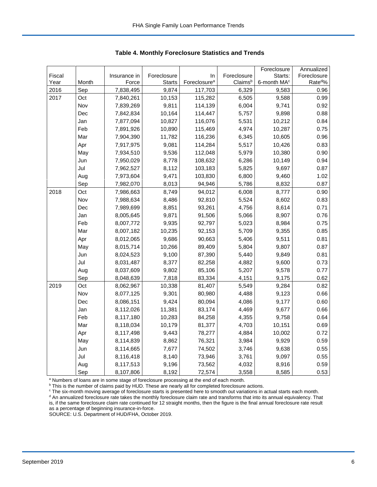| Fiscal<br>Foreclosure<br>In<br>Foreclosure<br>Starts:<br>Insurance in                                     | Foreclosure        |
|-----------------------------------------------------------------------------------------------------------|--------------------|
|                                                                                                           |                    |
| Foreclosure <sup>a</sup><br>Year<br>Month<br>Force<br><b>Starts</b><br>Claimsb<br>6-month MA <sup>c</sup> | Rate <sup>d%</sup> |
| 6,329<br>2016<br>Sep<br>7,838,495<br>9,874<br>117,703<br>9,583                                            | 0.96               |
| 2017<br>10,153<br>115,282<br>6,505<br>9,588<br>Oct<br>7,840,261                                           | 0.99               |
| Nov<br>7,839,269<br>9,811<br>114,139<br>6,004<br>9,741                                                    | 0.92               |
| 7,842,834<br>10,164<br>114,447<br>5,757<br>9,898<br>Dec                                                   | 0.88               |
| 7,877,094<br>10,827<br>116,076<br>10,212<br>Jan<br>5,531                                                  | 0.84               |
| Feb<br>4,974<br>7,891,926<br>10,890<br>115,469<br>10,287                                                  | 0.75               |
| Mar<br>7,904,390<br>11,782<br>116,236<br>6,345<br>10,605                                                  | 0.96               |
| 7,917,975<br>9,081<br>5,517<br>Apr<br>114,284<br>10,426                                                   | 0.83               |
| 5,979<br>May<br>7,934,510<br>9,536<br>112,048<br>10,380                                                   | 0.90               |
| Jun<br>7,950,029<br>8,778<br>108,632<br>6,286<br>10,149                                                   | 0.94               |
| Jul<br>5,825<br>7,962,527<br>8,112<br>103,183<br>9,697                                                    | 0.87               |
| 7,973,604<br>9,471<br>103,830<br>6,800<br>9,460<br>Aug                                                    | 1.02               |
| Sep<br>7,982,070<br>8,013<br>94,946<br>5,786<br>8,832                                                     | 0.87               |
| Oct<br>8,749<br>94,012<br>8,777<br>2018<br>7,986,663<br>6,008                                             | 0.90               |
| Nov<br>8,486<br>5,524<br>7,988,634<br>92,810<br>8,602                                                     | 0.83               |
| 93,261<br>7,989,699<br>8,851<br>4,756<br>8,614<br>Dec                                                     | 0.71               |
| 8,005,645<br>9,871<br>91,506<br>5,066<br>8,907<br>Jan                                                     | 0.76               |
| Feb<br>9,935<br>5,023<br>8,007,772<br>92,797<br>8,984                                                     | 0.75               |
| Mar<br>10,235<br>92,153<br>5,709<br>9,355<br>8,007,182                                                    | 0.85               |
| 9,686<br>90,663<br>5,406<br>9,511<br>Apr<br>8,012,065                                                     | 0.81               |
| 5,804<br>9,807<br>May<br>8,015,714<br>10,266<br>89,409                                                    | 0.87               |
| 9,100<br>87,390<br>5,440<br>9,849<br>Jun<br>8,024,523                                                     | 0.81               |
| Jul<br>8,031,487<br>8,377<br>82,258<br>4,882<br>9,600                                                     | 0.73               |
| Aug<br>8,037,609<br>9,802<br>85,106<br>5,207<br>9,578                                                     | 0.77               |
| Sep<br>7,818<br>83,334<br>4,151<br>8,048,639<br>9,175                                                     | 0.62               |
| 2019<br>Oct<br>8,062,967<br>10,338<br>81,407<br>5,549<br>9,284                                            | 0.82               |
| 9,301<br>Nov<br>8,077,125<br>80,980<br>4,488<br>9,123                                                     | 0.66               |
| 9,424<br>80,094<br>4,086<br>Dec<br>8,086,151<br>9,177                                                     | 0.60               |
| 8,112,026<br>11,381<br>83,174<br>4,469<br>9,677<br>Jan                                                    | 0.66               |
| Feb<br>10,283<br>84,258<br>4,355<br>8,117,180<br>9,758                                                    | 0.64               |
| 10,179<br>81,377<br>4,703<br>Mar<br>8,118,034<br>10,151                                                   | 0.69               |
| 8,117,498<br>9,443<br>78,277<br>4,884<br>10,002<br>Apr                                                    | 0.72               |
| May<br>8,114,839<br>8,862<br>76,321<br>3,984<br>9,929                                                     | 0.59               |
| 7,677<br>74,502<br>9,638<br>Jun<br>8,114,665<br>3,746                                                     | 0.55               |
| Jul<br>8,116,418<br>8,140<br>73,946<br>3,761<br>9,097                                                     | 0.55               |
| 8,117,513<br>9,196<br>73,562<br>4,032<br>8,916<br>Aug                                                     | 0.59               |
| Sep<br>8,107,806<br>8,192<br>72,574<br>3,558<br>8,585                                                     | 0.53               |

 **Table 4. Monthly Foreclosure Statistics and Trends**

<sup>a</sup> Numbers of loans are in some stage of foreclosure processing at the end of each month.

<sup>b</sup> This is the number of claims paid by HUD. These are nearly all for completed foreclosure actions.

<sup>c</sup> The six-month moving average of foreclosure starts is presented here to smooth out variations in actual starts each month. <sup>d</sup> An annualized foreclosure rate takes the monthly foreclosure claim rate and transforms that into its annual equivalency. That is, if the same foreclosure claim rate continued for 12 straight months, then the figure is the final annual foreclosure rate result as a percentage of beginning insurance-in-force.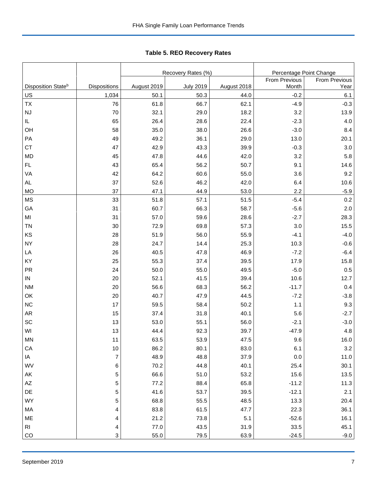|                                      |                       |                     | Recovery Rates (%)       | Percentage Point Change |                 |                      |
|--------------------------------------|-----------------------|---------------------|--------------------------|-------------------------|-----------------|----------------------|
|                                      |                       |                     |                          |                         | From Previous   | <b>From Previous</b> |
| Disposition State <sup>b</sup><br>US | Dispositions<br>1,034 | August 2019<br>50.1 | <b>July 2019</b><br>50.3 | August 2018<br>44.0     | Month<br>$-0.2$ | Year<br>6.1          |
| TX                                   | 76                    | 61.8                | 66.7                     | 62.1                    | $-4.9$          | $-0.3$               |
| <b>NJ</b>                            | 70                    | 32.1                | 29.0                     | 18.2                    | 3.2             | 13.9                 |
| IL.                                  | 65                    | 26.4                | 28.6                     | 22.4                    | $-2.3$          | 4.0                  |
| OH                                   | 58                    | 35.0                | 38.0                     | 26.6                    | $-3.0$          | 8.4                  |
| PA                                   | 49                    | 49.2                | 36.1                     | 29.0                    | 13.0            | 20.1                 |
| <b>CT</b>                            | 47                    | 42.9                | 43.3                     | 39.9                    | $-0.3$          | 3.0                  |
| <b>MD</b>                            | 45                    | 47.8                | 44.6                     | 42.0                    | 3.2             | 5.8                  |
| <b>FL</b>                            | 43                    | 65.4                | 56.2                     | 50.7                    | 9.1             | 14.6                 |
| VA                                   | 42                    | 64.2                | 60.6                     | 55.0                    | 3.6             | 9.2                  |
| AL                                   | 37                    | 52.6                | 46.2                     | 42.0                    | 6.4             | 10.6                 |
| <b>MO</b>                            | 37                    | 47.1                | 44.9                     | 53.0                    | 2.2             | $-5.9$               |
| <b>MS</b>                            | 33                    | 51.8                | 57.1                     | 51.5                    | $-5.4$          | 0.2                  |
| GA                                   | 31                    | 60.7                | 66.3                     | 58.7                    | $-5.6$          | 2.0                  |
| MI                                   | 31                    | 57.0                | 59.6                     | 28.6                    | $-2.7$          | 28.3                 |
| <b>TN</b>                            | $30\,$                | 72.9                | 69.8                     | 57.3                    | 3.0             | 15.5                 |
| KS                                   | 28                    | 51.9                | 56.0                     | 55.9                    | $-4.1$          | $-4.0$               |
| <b>NY</b>                            | 28                    | 24.7                | 14.4                     | 25.3                    | 10.3            | $-0.6$               |
| LA                                   | 26                    | 40.5                | 47.8                     | 46.9                    | $-7.2$          | $-6.4$               |
| KY                                   | 25                    | 55.3                | 37.4                     | 39.5                    | 17.9            | 15.8                 |
| PR                                   | 24                    | 50.0                | 55.0                     | 49.5                    | $-5.0$          | 0.5                  |
| ${\sf IN}$                           | 20                    | 52.1                | 41.5                     | 39.4                    | 10.6            | 12.7                 |
| <b>NM</b>                            | 20                    | 56.6                | 68.3                     | 56.2                    | $-11.7$         | 0.4                  |
| OK                                   | 20                    | 40.7                | 47.9                     | 44.5                    | $-7.2$          | $-3.8$               |
| <b>NC</b>                            | 17                    | 59.5                | 58.4                     | 50.2                    | 1.1             | 9.3                  |
| <b>AR</b>                            | 15                    | 37.4                | 31.8                     | 40.1                    | 5.6             | $-2.7$               |
| SC                                   | 13                    | 53.0                | 55.1                     | 56.0                    | $-2.1$          | $-3.0$               |
| WI                                   | 13                    | 44.4                | 92.3                     | 39.7                    | $-47.9$         | 4.8                  |
| $\mathsf{MN}$                        | 11                    | 63.5                | 53.9                     | 47.5                    | 9.6             | 16.0                 |
| CA                                   | $10$                  | 86.2                | 80.1                     | 83.0                    | 6.1             | $3.2\,$              |
| IA                                   | $\boldsymbol{7}$      | 48.9                | 48.8                     | 37.9                    | 0.0             | 11.0                 |
| WV                                   | 6                     | 70.2                | 44.8                     | 40.1                    | 25.4            | 30.1                 |
| AK                                   | 5                     | 66.6                | 51.0                     | 53.2                    | 15.6            | 13.5                 |
| $\mathsf{A}\mathsf{Z}$               | 5                     | 77.2                | 88.4                     | 65.8                    | $-11.2$         | 11.3                 |
| DE                                   | 5                     | 41.6                | 53.7                     | 39.5                    | $-12.1$         | 2.1                  |
| <b>WY</b>                            | 5                     | 68.8                | 55.5                     | 48.5                    | 13.3            | 20.4                 |
| МA                                   | 4                     | 83.8                | 61.5                     | 47.7                    | 22.3            | 36.1                 |
| ME                                   | 4                     | 21.2                | 73.8                     | 5.1                     | $-52.6$         | 16.1                 |
| <b>RI</b>                            | 4                     | 77.0                | 43.5                     | 31.9                    | 33.5            | 45.1                 |
| CO                                   | 3                     | 55.0                | 79.5                     | 63.9                    | $-24.5$         | $-9.0$               |

Tabl e 5. REO R ecovery R ates **Table 5. REO Recovery Rates**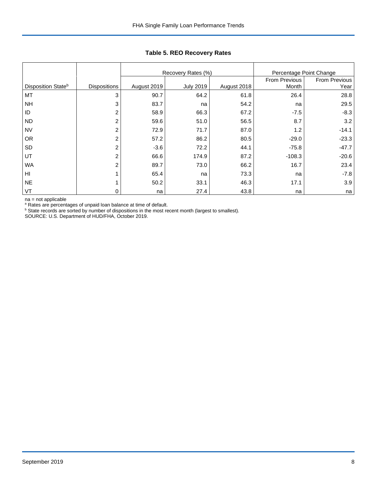|                                |                     |             | Recovery Rates (%) |             | Percentage Point Change |               |
|--------------------------------|---------------------|-------------|--------------------|-------------|-------------------------|---------------|
|                                |                     |             |                    |             | From Previous           | From Previous |
| Disposition State <sup>b</sup> | <b>Dispositions</b> | August 2019 | <b>July 2019</b>   | August 2018 | Month                   | Year          |
| MT                             | 3                   | 90.7        | 64.2               | 61.8        | 26.4                    | 28.8          |
| <b>NH</b>                      | 3                   | 83.7        | na                 | 54.2        | na                      | 29.5          |
| ID                             | $\overline{2}$      | 58.9        | 66.3               | 67.2        | $-7.5$                  | $-8.3$        |
| <b>ND</b>                      | $\overline{c}$      | 59.6        | 51.0               | 56.5        | 8.7                     | 3.2           |
| <b>NV</b>                      | 2                   | 72.9        | 71.7               | 87.0        | 1.2                     | $-14.1$       |
| <b>OR</b>                      | $\overline{2}$      | 57.2        | 86.2               | 80.5        | $-29.0$                 | $-23.3$       |
| SD                             | $\overline{2}$      | $-3.6$      | 72.2               | 44.1        | $-75.8$                 | $-47.7$       |
| UT                             | $\overline{2}$      | 66.6        | 174.9              | 87.2        | $-108.3$                | $-20.6$       |
| WA                             | 2                   | 89.7        | 73.0               | 66.2        | 16.7                    | 23.4          |
| HI                             |                     | 65.4        | na                 | 73.3        | na                      | $-7.8$        |
| <b>NE</b>                      |                     | 50.2        | 33.1               | 46.3        | 17.1                    | 3.9           |
| VT                             | 0                   | na          | 27.4               | 43.8        | na                      | na            |

## **Table 5. REO Recovery Rates**

na = not applicable

<sup>a</sup> Rates are percentages of unpaid loan balance at time of default.<br><sup>b</sup> State records are sorted by number of dispositions in the most recent month (largest to smallest).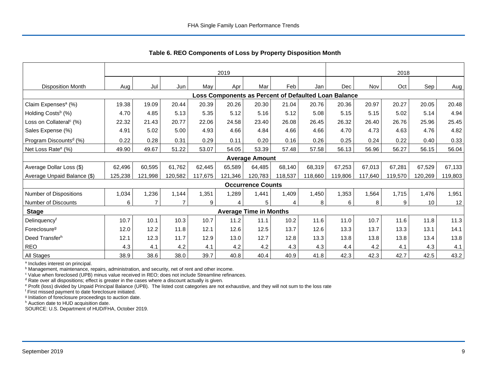|                                                      | 2019    |                |                |         |         |                               |         | 2018    |            |         |         |         |         |
|------------------------------------------------------|---------|----------------|----------------|---------|---------|-------------------------------|---------|---------|------------|---------|---------|---------|---------|
| <b>Disposition Month</b>                             | Aug     | Jul            | Jun            | May     | Apr     | Mar                           | Feb     | Jan     | <b>Dec</b> | Nov     | Oct     | Sep     | Aug     |
| Loss Components as Percent of Defaulted Loan Balance |         |                |                |         |         |                               |         |         |            |         |         |         |         |
| Claim Expenses <sup>a</sup> (%)                      | 19.38   | 19.09          | 20.44          | 20.39   | 20.26   | 20.30                         | 21.04   | 20.76   | 20.36      | 20.97   | 20.27   | 20.05   | 20.48   |
| Holding Costs <sup>b</sup> (%)                       | 4.70    | 4.85           | 5.13           | 5.35    | 5.12    | 5.16                          | 5.12    | 5.08    | 5.15       | 5.15    | 5.02    | 5.14    | 4.94    |
| Loss on Collateral <sup>c</sup> (%)                  | 22.32   | 21.43          | 20.77          | 22.06   | 24.58   | 23.40                         | 26.08   | 26.45   | 26.32      | 26.40   | 26.76   | 25.96   | 25.45   |
| Sales Expense (%)                                    | 4.91    | 5.02           | 5.00           | 4.93    | 4.66    | 4.84                          | 4.66    | 4.66    | 4.70       | 4.73    | 4.63    | 4.76    | 4.82    |
| Program Discounts <sup>d</sup> (%)                   | 0.22    | 0.28           | 0.31           | 0.29    | 0.11    | 0.20                          | 0.16    | 0.26    | 0.25       | 0.24    | 0.22    | 0.40    | 0.33    |
| Net Loss Rate <sup>e</sup> (%)                       | 49.90   | 49.67          | 51.22          | 53.07   | 54.05   | 53.39                         | 57.48   | 57.58   | 56.13      | 56.96   | 56.27   | 56.15   | 56.04   |
|                                                      |         |                |                |         |         | <b>Average Amount</b>         |         |         |            |         |         |         |         |
| Average Dollar Loss (\$)                             | 62,496  | 60.595         | 61,762         | 62,445  | 65.589  | 64,485                        | 68,140  | 68,319  | 67,253     | 67,013  | 67,281  | 67,529  | 67,133  |
| Average Unpaid Balance (\$)                          | 125,238 | 121,998        | 120,582        | 117,675 | 121,346 | 120,783                       | 118,537 | 118,660 | 119,806    | 117,640 | 119,570 | 120,269 | 119,803 |
|                                                      |         |                |                |         |         | <b>Occurrence Counts</b>      |         |         |            |         |         |         |         |
| Number of Dispositions                               | 1,034   | 1,236          | 1,144          | 1,351   | 1,289   | 1,441                         | 1,409   | 1,450   | 1,353      | 1,564   | 1,715   | 1,476   | 1,951   |
| <b>Number of Discounts</b>                           | 6       | $\overline{7}$ | $\overline{7}$ | 9       | 4       | 5                             | 4       | 8       | 6          | 8       | 9       | 10      | 12      |
| <b>Stage</b>                                         |         |                |                |         |         | <b>Average Time in Months</b> |         |         |            |         |         |         |         |
| Delinquencyf                                         | 10.7    | 10.1           | 10.3           | 10.7    | 11.2    | 11.1                          | 10.2    | 11.6    | 11.0       | 10.7    | 11.6    | 11.8    | 11.3    |
| Foreclosure <sup>g</sup>                             | 12.0    | 12.2           | 11.8           | 12.1    | 12.6    | 12.5                          | 13.7    | 12.6    | 13.3       | 13.7    | 13.3    | 13.1    | 14.1    |
| Deed Transferh                                       | 12.1    | 12.3           | 11.7           | 12.9    | 13.0    | 12.7                          | 12.8    | 13.3    | 13.8       | 13.8    | 13.8    | 13.4    | 13.8    |
| <b>REO</b>                                           | 4.3     | 4.1            | 4.2            | 4.1     | 4.2     | 4.2                           | 4.3     | 4.3     | 4.4        | 4.2     | 4.1     | 4.3     | 4.1     |
| All Stages                                           | 38.9    | 38.6           | 38.0           | 39.7    | 40.8    | 40.4                          | 40.9    | 41.8    | 42.3       | 42.3    | 42.7    | 42.5    | 43.2    |

 **Table 6. REO Components of Loss by Property Disposition Month**

<sup>a</sup> Includes interest on principal.

<sup>b</sup> Management, maintenance, repairs, administration, and security, net of rent and other income.

c Value when foreclosed (UPB) minus value received in REO; does not include Streamline refinances.

<sup>d</sup> Rate over all dispositions; effect is greater in the cases where a discount actually is given.

e Profit (loss) divided by Unpaid Principal Balance (UPB). The listed cost categories are not exhaustive, and they will not sum to the loss rate

f First missed payment to date foreclosure initiated.

<sup>g</sup> Initiation of foreclosure proceedings to auction date.

h Auction date to HUD acquisition date.